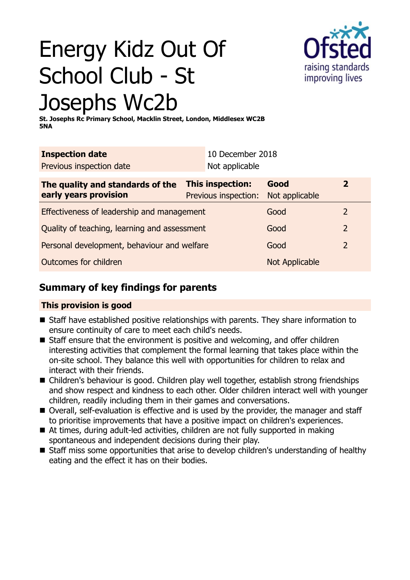# Energy Kidz Out Of School Club - St Josephs Wc2b



**St. Josephs Rc Primary School, Macklin Street, London, Middlesex WC2B 5NA**

| <b>Inspection date</b>                                    |  | 10 December 2018                         |                        |                |
|-----------------------------------------------------------|--|------------------------------------------|------------------------|----------------|
| Previous inspection date                                  |  | Not applicable                           |                        |                |
| The quality and standards of the<br>early years provision |  | This inspection:<br>Previous inspection: | Good<br>Not applicable | $\overline{2}$ |
| Effectiveness of leadership and management                |  |                                          | Good                   | 2              |
| Quality of teaching, learning and assessment              |  |                                          | Good                   | $\overline{2}$ |
| Personal development, behaviour and welfare               |  |                                          | Good                   | $\overline{2}$ |
| Outcomes for children                                     |  |                                          | Not Applicable         |                |

# **Summary of key findings for parents**

### **This provision is good**

- Staff have established positive relationships with parents. They share information to ensure continuity of care to meet each child's needs.
- $\blacksquare$  Staff ensure that the environment is positive and welcoming, and offer children interesting activities that complement the formal learning that takes place within the on-site school. They balance this well with opportunities for children to relax and interact with their friends.
- Children's behaviour is good. Children play well together, establish strong friendships and show respect and kindness to each other. Older children interact well with younger children, readily including them in their games and conversations.
- Overall, self-evaluation is effective and is used by the provider, the manager and staff to prioritise improvements that have a positive impact on children's experiences.
- $\blacksquare$  At times, during adult-led activities, children are not fully supported in making spontaneous and independent decisions during their play.
- Staff miss some opportunities that arise to develop children's understanding of healthy eating and the effect it has on their bodies.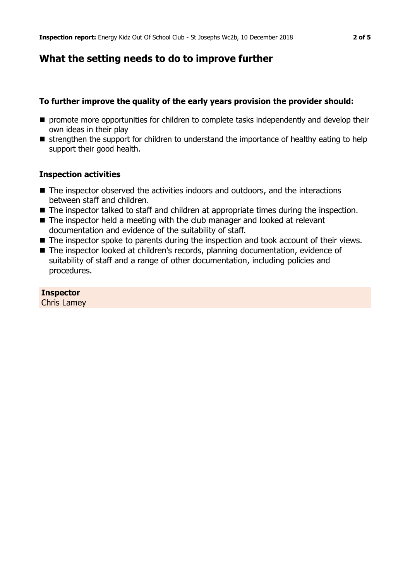## **What the setting needs to do to improve further**

#### **To further improve the quality of the early years provision the provider should:**

- **n** promote more opportunities for children to complete tasks independently and develop their own ideas in their play
- $\blacksquare$  strengthen the support for children to understand the importance of healthy eating to help support their good health.

#### **Inspection activities**

- $\blacksquare$  The inspector observed the activities indoors and outdoors, and the interactions between staff and children.
- The inspector talked to staff and children at appropriate times during the inspection.
- $\blacksquare$  The inspector held a meeting with the club manager and looked at relevant documentation and evidence of the suitability of staff.
- $\blacksquare$  The inspector spoke to parents during the inspection and took account of their views.
- The inspector looked at children's records, planning documentation, evidence of suitability of staff and a range of other documentation, including policies and procedures.

#### **Inspector**

Chris Lamey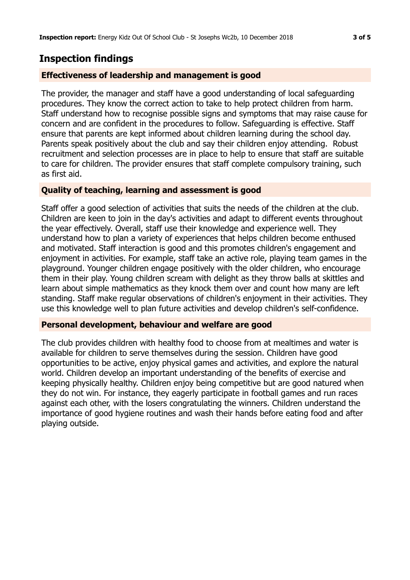## **Inspection findings**

#### **Effectiveness of leadership and management is good**

The provider, the manager and staff have a good understanding of local safeguarding procedures. They know the correct action to take to help protect children from harm. Staff understand how to recognise possible signs and symptoms that may raise cause for concern and are confident in the procedures to follow. Safeguarding is effective. Staff ensure that parents are kept informed about children learning during the school day. Parents speak positively about the club and say their children enjoy attending. Robust recruitment and selection processes are in place to help to ensure that staff are suitable to care for children. The provider ensures that staff complete compulsory training, such as first aid.

#### **Quality of teaching, learning and assessment is good**

Staff offer a good selection of activities that suits the needs of the children at the club. Children are keen to join in the day's activities and adapt to different events throughout the year effectively. Overall, staff use their knowledge and experience well. They understand how to plan a variety of experiences that helps children become enthused and motivated. Staff interaction is good and this promotes children's engagement and enjoyment in activities. For example, staff take an active role, playing team games in the playground. Younger children engage positively with the older children, who encourage them in their play. Young children scream with delight as they throw balls at skittles and learn about simple mathematics as they knock them over and count how many are left standing. Staff make regular observations of children's enjoyment in their activities. They use this knowledge well to plan future activities and develop children's self-confidence.

#### **Personal development, behaviour and welfare are good**

The club provides children with healthy food to choose from at mealtimes and water is available for children to serve themselves during the session. Children have good opportunities to be active, enjoy physical games and activities, and explore the natural world. Children develop an important understanding of the benefits of exercise and keeping physically healthy. Children enjoy being competitive but are good natured when they do not win. For instance, they eagerly participate in football games and run races against each other, with the losers congratulating the winners. Children understand the importance of good hygiene routines and wash their hands before eating food and after playing outside.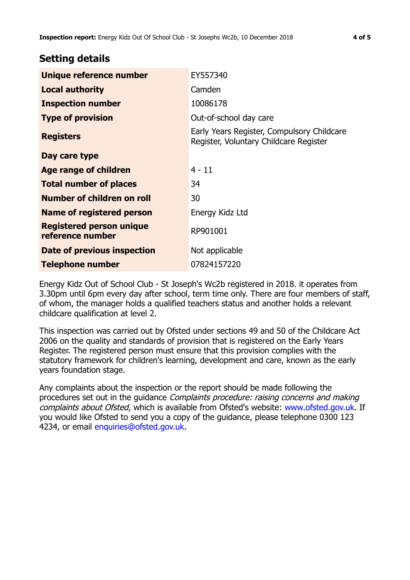## **Setting details**

| Unique reference number                             | EY557340                                                                             |
|-----------------------------------------------------|--------------------------------------------------------------------------------------|
| <b>Local authority</b>                              | Camden                                                                               |
| <b>Inspection number</b>                            | 10086178                                                                             |
| <b>Type of provision</b>                            | Out-of-school day care                                                               |
| <b>Registers</b>                                    | Early Years Register, Compulsory Childcare<br>Register, Voluntary Childcare Register |
| Day care type                                       |                                                                                      |
| Age range of children                               | $4 - 11$                                                                             |
| <b>Total number of places</b>                       | 34                                                                                   |
| Number of children on roll                          | 30                                                                                   |
| Name of registered person                           | Energy Kidz Ltd                                                                      |
| <b>Registered person unique</b><br>reference number | RP901001                                                                             |
| Date of previous inspection                         | Not applicable                                                                       |
| Telephone number                                    | 07824157220                                                                          |

Energy Kidz Out of School Club - St Joseph's Wc2b registered in 2018. it operates from 3.30pm until 6pm every day after school, term time only. There are four members of staff, of whom, the manager holds a qualified teachers status and another holds a relevant childcare qualification at level 2.

This inspection was carried out by Ofsted under sections 49 and 50 of the Childcare Act 2006 on the quality and standards of provision that is registered on the Early Years Register. The registered person must ensure that this provision complies with the statutory framework for children's learning, development and care, known as the early years foundation stage.

Any complaints about the inspection or the report should be made following the procedures set out in the quidance *Complaints procedure: raising concerns and making* complaints about Ofsted, which is available from Ofsted's website: www.ofsted.gov.uk. If you would like Ofsted to send you a copy of the guidance, please telephone 0300 123 4234, or email [enquiries@ofsted.gov.uk.](mailto:enquiries@ofsted.gov.uk)